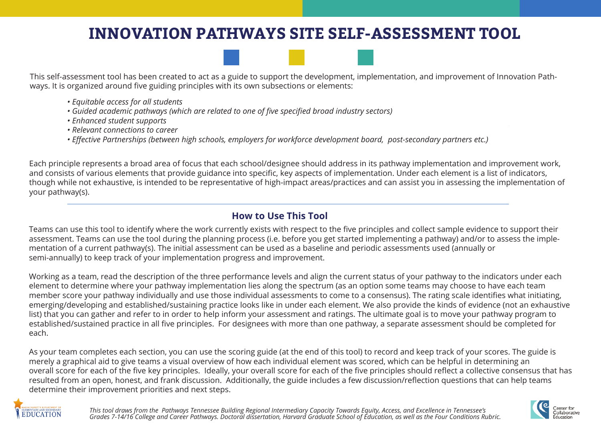# **INNOVATION PATHWAYS SITE SELF-ASSESSMENT TOOL**



This self-assessment tool has been created to act as a guide to support the development, implementation, and improvement of Innovation Pathways. It is organized around five guiding principles with its own subsections or elements:

- *Equitable access for all students*
- *Guided academic pathways (which are related to one of five specified broad industry sectors)*
- *Enhanced student supports*
- *Relevant connections to career*
- *Effective Partnerships (between high schools, employers for workforce development board, post-secondary partners etc.)*

Each principle represents a broad area of focus that each school/designee should address in its pathway implementation and improvement work, and consists of various elements that provide guidance into specific, key aspects of implementation. Under each element is a list of indicators, though while not exhaustive, is intended to be representative of high-impact areas/practices and can assist you in assessing the implementation of your pathway(s).

# **How to Use This Tool**

Teams can use this tool to identify where the work currently exists with respect to the five principles and collect sample evidence to support their assessment. Teams can use the tool during the planning process (i.e. before you get started implementing a pathway) and/or to assess the implementation of a current pathway(s). The initial assessment can be used as a baseline and periodic assessments used (annually or semi-annually) to keep track of your implementation progress and improvement.

Working as a team, read the description of the three performance levels and align the current status of your pathway to the indicators under each element to determine where your pathway implementation lies along the spectrum (as an option some teams may choose to have each team member score your pathway individually and use those individual assessments to come to a consensus). The rating scale identifies what initiating, emerging/developing and established/sustaining practice looks like in under each element. We also provide the kinds of evidence (not an exhaustive list) that you can gather and refer to in order to help inform your assessment and ratings. The ultimate goal is to move your pathway program to established/sustained practice in all five principles. For designees with more than one pathway, a separate assessment should be completed for each.

As your team completes each section, you can use the scoring guide (at the end of this tool) to record and keep track of your scores. The guide is merely a graphical aid to give teams a visual overview of how each individual element was scored, which can be helpful in determining an overall score for each of the five key principles. Ideally, your overall score for each of the five principles should reflect a collective consensus that has resulted from an open, honest, and frank discussion. Additionally, the guide includes a few discussion/reflection questions that can help teams determine their improvement priorities and next steps.



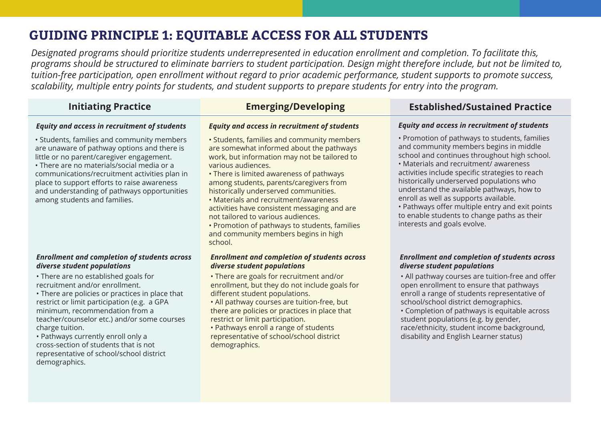# **GUIDING PRINCIPLE 1: EQUITABLE ACCESS FOR ALL STUDENTS**

*Designated programs should prioritize students underrepresented in education enrollment and completion. To facilitate this, programs should be structured to eliminate barriers to student participation. Design might therefore include, but not be limited to, tuition-free participation, open enrollment without regard to prior academic performance, student supports to promote success, scalability, multiple entry points for students, and student supports to prepare students for entry into the program.*

### *Equity and access in recruitment of students*

• Students, families and community members are unaware of pathway options and there is little or no parent/caregiver engagement.

• There are no materials/social media or a communications/recruitment activities plan in place to support efforts to raise awareness and understanding of pathways opportunities among students and families.

#### *Enrollment and completion of students across diverse student populations*

• There are no established goals for recruitment and/or enrollment.

• There are policies or practices in place that restrict or limit participation (e.g. a GPA minimum, recommendation from a teacher/counselor etc.) and/or some courses charge tuition.

• Pathways currently enroll only a cross-section of students that is not representative of school/school district demographics.

### *Equity and access in recruitment of students*

- Students, families and community members are somewhat informed about the pathways work, but information may not be tailored to various audiences.
- There is limited awareness of pathways among students, parents/caregivers from historically underserved communities.
- Materials and recruitment/awareness activities have consistent messaging and are not tailored to various audiences.
- Promotion of pathways to students, families and community members begins in high school.

### *Enrollment and completion of students across diverse student populations*

• There are goals for recruitment and/or enrollment, but they do not include goals for different student populations.

• All pathway courses are tuition-free, but there are policies or practices in place that restrict or limit participation.

• Pathways enroll a range of students representative of school/school district demographics.

# **Initiating Practice Emerging/Developing Established/Sustained Practice**

### *Equity and access in recruitment of students*

• Promotion of pathways to students, families and community members begins in middle school and continues throughout high school.

• Materials and recruitment/ awareness activities include specific strategies to reach historically underserved populations who understand the available pathways, how to enroll as well as supports available.

• Pathways offer multiple entry and exit points to enable students to change paths as their interests and goals evolve.

### *Enrollment and completion of students across diverse student populations*

• All pathway courses are tuition-free and offer open enrollment to ensure that pathways enroll a range of students representative of school/school district demographics. • Completion of pathways is equitable across student populations (e.g. by gender, race/ethnicity, student income background, disability and English Learner status)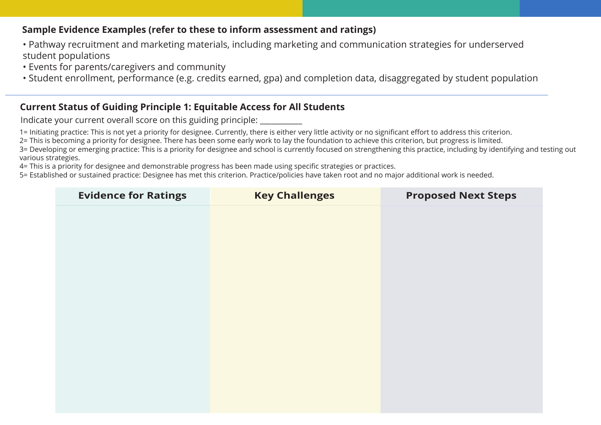- Pathway recruitment and marketing materials, including marketing and communication strategies for underserved student populations
- Events for parents/caregivers and community
- Student enrollment, performance (e.g. credits earned, gpa) and completion data, disaggregated by student population

# **Current Status of Guiding Principle 1: Equitable Access for All Students**

Indicate your current overall score on this guiding principle:

1= Initiating practice: This is not yet a priority for designee. Currently, there is either very little activity or no significant effort to address this criterion.

2= This is becoming a priority for designee. There has been some early work to lay the foundation to achieve this criterion, but progress is limited.

3= Developing or emerging practice: This is a priority for designee and school is currently focused on strengthening this practice, including by identifying and testing out various strategies.

4= This is a priority for designee and demonstrable progress has been made using specific strategies or practices.

| <b>Evidence for Ratings</b> | <b>Key Challenges</b> | <b>Proposed Next Steps</b> |
|-----------------------------|-----------------------|----------------------------|
|                             |                       |                            |
|                             |                       |                            |
|                             |                       |                            |
|                             |                       |                            |
|                             |                       |                            |
|                             |                       |                            |
|                             |                       |                            |
|                             |                       |                            |
|                             |                       |                            |
|                             |                       |                            |
|                             |                       |                            |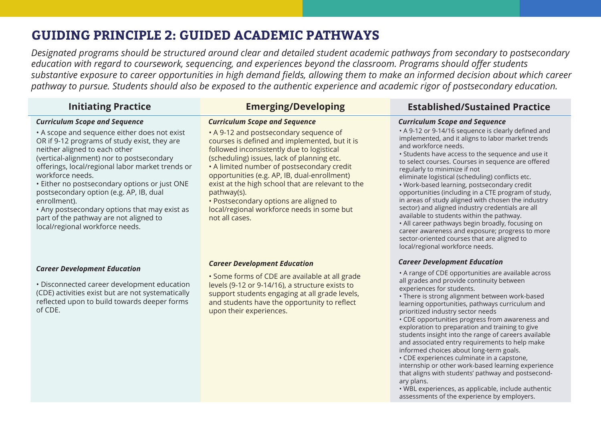# **GUIDING PRINCIPLE 2: GUIDED ACADEMIC PATHWAYS**

*Designated programs should be structured around clear and detailed student academic pathways from secondary to postsecondary education with regard to coursework, sequencing, and experiences beyond the classroom. Programs should offer students substantive exposure to career opportunities in high demand fields, allowing them to make an informed decision about which career pathway to pursue. Students should also be exposed to the authentic experience and academic rigor of postsecondary education.*

• A 9-12 and postsecondary sequence of courses is defined and implemented, but it is

### *Curriculum Scope and Sequence*

• A scope and sequence either does not exist OR if 9-12 programs of study exist, they are neither aligned to each other

(vertical-alignment) nor to postsecondary offerings, local/regional labor market trends or workforce needs.

• Either no postsecondary options or just ONE postsecondary option (e.g. AP, IB, dual enrollment).

• Any postsecondary options that may exist as part of the pathway are not aligned to local/regional workforce needs.

followed inconsistently due to logistical (scheduling) issues, lack of planning etc. • A limited number of postsecondary credit opportunities (e.g. AP, IB, dual-enrollment) exist at the high school that are relevant to the

*Curriculum Scope and Sequence* 

pathway(s).

• Postsecondary options are aligned to local/regional workforce needs in some but not all cases.

### *Career Development Education*

• Disconnected career development education (CDE) activities exist but are not systematically reflected upon to build towards deeper forms of CDE.

#### *Career Development Education*

• Some forms of CDE are available at all grade levels (9-12 or 9-14/16), a structure exists to support students engaging at all grade levels, and students have the opportunity to reflect upon their experiences.

# **Initiating Practice Emerging/Developing Established/Sustained Practice**

#### *Curriculum Scope and Sequence*

• A 9-12 or 9-14/16 sequence is clearly defined and implemented, and it aligns to labor market trends and workforce needs.

• Students have access to the sequence and use it to select courses. Courses in sequence are offered regularly to minimize if not

eliminate logistical (scheduling) conflicts etc.

• Work-based learning, postsecondary credit opportunities (including in a CTE program of study, in areas of study aligned with chosen the industry sector) and aligned industry credentials are all available to students within the pathway.

• All career pathways begin broadly, focusing on career awareness and exposure; progress to more sector-oriented courses that are aligned to local/regional workforce needs.

### *Career Development Education*

• A range of CDE opportunities are available across all grades and provide continuity between experiences for students.

• There is strong alignment between work-based learning opportunities, pathways curriculum and prioritized industry sector needs

• CDE opportunities progress from awareness and exploration to preparation and training to give students insight into the range of careers available and associated entry requirements to help make informed choices about long-term goals.

• CDE experiences culminate in a capstone, internship or other work-based learning experience that aligns with students' pathway and postsecondary plans.

• WBL experiences, as applicable, include authentic assessments of the experience by employers.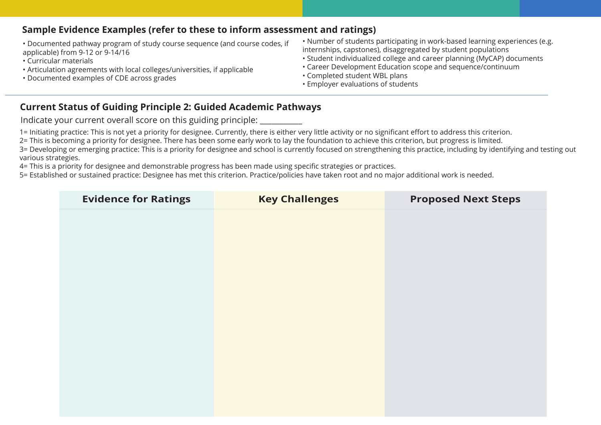- Documented pathway program of study course sequence (and course codes, if applicable) from 9-12 or 9-14/16
- Curricular materials
- Articulation agreements with local colleges/universities, if applicable
- Documented examples of CDE across grades
- Number of students participating in work-based learning experiences (e.g. internships, capstones), disaggregated by student populations
- Student individualized college and career planning (MyCAP) documents
- Career Development Education scope and sequence/continuum
- Completed student WBL plans
- Employer evaluations of students

# **Current Status of Guiding Principle 2: Guided Academic Pathways**

Indicate your current overall score on this guiding principle:

1= Initiating practice: This is not yet a priority for designee. Currently, there is either very little activity or no significant effort to address this criterion.

2= This is becoming a priority for designee. There has been some early work to lay the foundation to achieve this criterion, but progress is limited.

3= Developing or emerging practice: This is a priority for designee and school is currently focused on strengthening this practice, including by identifying and testing out various strategies.

4= This is a priority for designee and demonstrable progress has been made using specific strategies or practices.

| <b>Evidence for Ratings</b> | <b>Key Challenges</b> | <b>Proposed Next Steps</b> |
|-----------------------------|-----------------------|----------------------------|
|                             |                       |                            |
|                             |                       |                            |
|                             |                       |                            |
|                             |                       |                            |
|                             |                       |                            |
|                             |                       |                            |
|                             |                       |                            |
|                             |                       |                            |
|                             |                       |                            |
|                             |                       |                            |
|                             |                       |                            |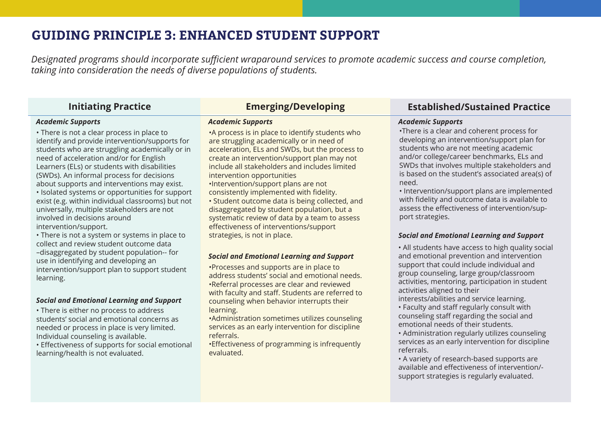# **GUIDING PRINCIPLE 3: ENHANCED STUDENT SUPPORT**

*Designated programs should incorporate sufficient wraparound services to promote academic success and course completion, taking into consideration the needs of diverse populations of students.* 

### *Academic Supports*

• There is not a clear process in place to identify and provide intervention/supports for students who are struggling academically or in need of acceleration and/or for English Learners (ELs) or students with disabilities (SWDs). An informal process for decisions about supports and interventions may exist. • Isolated systems or opportunities for support exist (e.g. within individual classrooms) but not universally, multiple stakeholders are not involved in decisions around intervention/support.

• There is not a system or systems in place to collect and review student outcome data –disaggregated by student population-- for use in identifying and developing an intervention/support plan to support student learning.

### *Social and Emotional Learning and Support*

• There is either no process to address students' social and emotional concerns as needed or process in place is very limited. Individual counseling is available.

• Effectiveness of supports for social emotional learning/health is not evaluated.

### *Academic Supports*

•A process is in place to identify students who are struggling academically or in need of acceleration, ELs and SWDs, but the process to create an intervention/support plan may not include all stakeholders and includes limited intervention opportunities •Intervention/support plans are not

consistently implemented with fidelity.

• Student outcome data is being collected, and disaggregated by student population, but a systematic review of data by a team to assess effectiveness of interventions/support strategies, is not in place.

### *Social and Emotional Learning and Support*

•Processes and supports are in place to address students' social and emotional needs. •Referral processes are clear and reviewed with faculty and staff. Students are referred to counseling when behavior interrupts their learning.

•Administration sometimes utilizes counseling services as an early intervention for discipline referrals.

•Effectiveness of programming is infrequently evaluated.

# **Initiating Practice Emerging/Developing Established/Sustained Practice**

### *Academic Supports*

•There is a clear and coherent process for developing an intervention/support plan for students who are not meeting academic and/or college/career benchmarks, ELs and SWDs that involves multiple stakeholders and is based on the student's associated area(s) of need.

• Intervention/support plans are implemented with fidelity and outcome data is available to assess the effectiveness of intervention/support strategies.

### *Social and Emotional Learning and Support*

• All students have access to high quality social and emotional prevention and intervention support that could include individual and group counseling, large group/classroom activities, mentoring, participation in student activities aligned to their

interests/abilities and service learning.

• Faculty and staff regularly consult with counseling staff regarding the social and emotional needs of their students.

• Administration regularly utilizes counseling services as an early intervention for discipline referrals.

• A variety of research-based supports are available and effectiveness of intervention/ support strategies is regularly evaluated.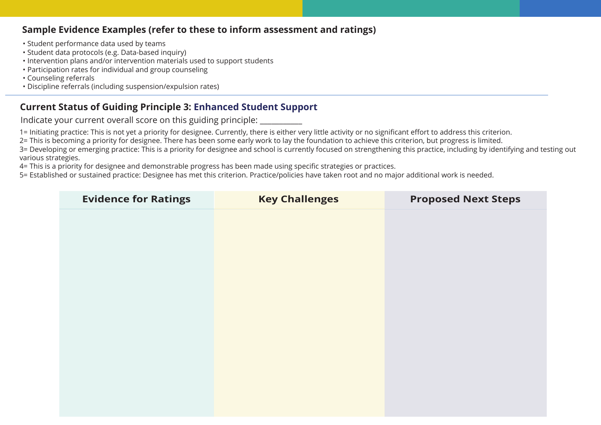- Student performance data used by teams
- Student data protocols (e.g. Data-based inquiry)
- Intervention plans and/or intervention materials used to support students
- Participation rates for individual and group counseling
- Counseling referrals
- Discipline referrals (including suspension/expulsion rates)

# **Current Status of Guiding Principle 3: Enhanced Student Support**

Indicate your current overall score on this guiding principle:

1= Initiating practice: This is not yet a priority for designee. Currently, there is either very little activity or no significant effort to address this criterion.

2= This is becoming a priority for designee. There has been some early work to lay the foundation to achieve this criterion, but progress is limited.

3= Developing or emerging practice: This is a priority for designee and school is currently focused on strengthening this practice, including by identifying and testing out various strategies.

4= This is a priority for designee and demonstrable progress has been made using specific strategies or practices.

| <b>Evidence for Ratings</b> | <b>Key Challenges</b> | <b>Proposed Next Steps</b> |
|-----------------------------|-----------------------|----------------------------|
|                             |                       |                            |
|                             |                       |                            |
|                             |                       |                            |
|                             |                       |                            |
|                             |                       |                            |
|                             |                       |                            |
|                             |                       |                            |
|                             |                       |                            |
|                             |                       |                            |
|                             |                       |                            |
|                             |                       |                            |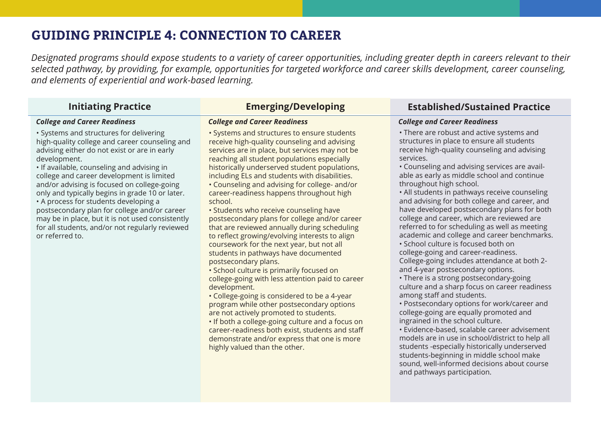# **GUIDING PRINCIPLE 4: CONNECTION TO CAREER**

*Designated programs should expose students to a variety of career opportunities, including greater depth in careers relevant to their selected pathway, by providing, for example, opportunities for targeted workforce and career skills development, career counseling, and elements of experiential and work-based learning.*

### *College and Career Readiness*

• Systems and structures for delivering high-quality college and career counseling and advising either do not exist or are in early development.

• If available, counseling and advising in college and career development is limited and/or advising is focused on college-going only and typically begins in grade 10 or later. • A process for students developing a postsecondary plan for college and/or career may be in place, but it is not used consistently for all students, and/or not regularly reviewed or referred to.

#### • Systems and structures to ensure students receive high-quality counseling and advising services are in place, but services may not be reaching all student populations especially historically underserved student populations, including ELs and students with disabilities.

• Counseling and advising for college- and/or career-readiness happens throughout high school.

• Students who receive counseling have postsecondary plans for college and/or career that are reviewed annually during scheduling to reflect growing/evolving interests to align coursework for the next year, but not all students in pathways have documented postsecondary plans.

• School culture is primarily focused on college-going with less attention paid to career development.

• College-going is considered to be a 4-year program while other postsecondary options are not actively promoted to students.

• If both a college-going culture and a focus on career-readiness both exist, students and staff demonstrate and/or express that one is more highly valued than the other.

# **Initiating Practice Emerging/Developing Established/Sustained Practice**

### *College and Career Readiness College and Career Readiness*

• There are robust and active systems and structures in place to ensure all students receive high-quality counseling and advising services.

• Counseling and advising services are available as early as middle school and continue throughout high school.

• All students in pathways receive counseling and advising for both college and career, and have developed postsecondary plans for both college and career, which are reviewed are referred to for scheduling as well as meeting academic and college and career benchmarks.

• School culture is focused both on college-going and career-readiness. College-going includes attendance at both 2 and 4-year postsecondary options.

• There is a strong postsecondary-going culture and a sharp focus on career readiness among staff and students.

• Postsecondary options for work/career and college-going are equally promoted and ingrained in the school culture.

• Evidence-based, scalable career advisement models are in use in school/district to help all students -especially historically underserved students-beginning in middle school make sound, well-informed decisions about course and pathways participation.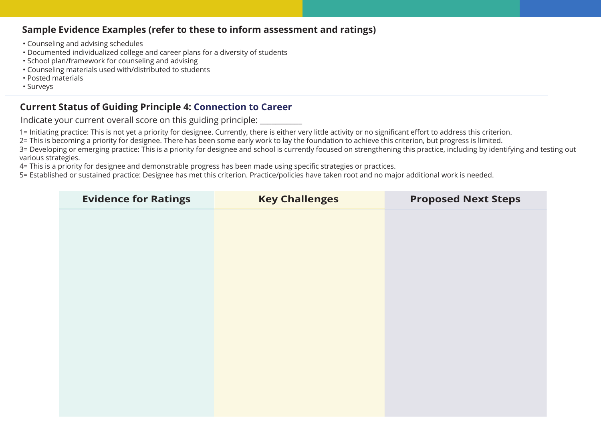- Counseling and advising schedules
- Documented individualized college and career plans for a diversity of students
- School plan/framework for counseling and advising
- Counseling materials used with/distributed to students
- Posted materials
- Surveys

## **Current Status of Guiding Principle 4: Connection to Career**

Indicate your current overall score on this guiding principle:

1= Initiating practice: This is not yet a priority for designee. Currently, there is either very little activity or no significant effort to address this criterion.

2= This is becoming a priority for designee. There has been some early work to lay the foundation to achieve this criterion, but progress is limited.

3= Developing or emerging practice: This is a priority for designee and school is currently focused on strengthening this practice, including by identifying and testing out various strategies.

4= This is a priority for designee and demonstrable progress has been made using specific strategies or practices.

| <b>Evidence for Ratings</b> | <b>Key Challenges</b> | <b>Proposed Next Steps</b> |
|-----------------------------|-----------------------|----------------------------|
|                             |                       |                            |
|                             |                       |                            |
|                             |                       |                            |
|                             |                       |                            |
|                             |                       |                            |
|                             |                       |                            |
|                             |                       |                            |
|                             |                       |                            |
|                             |                       |                            |
|                             |                       |                            |
|                             |                       |                            |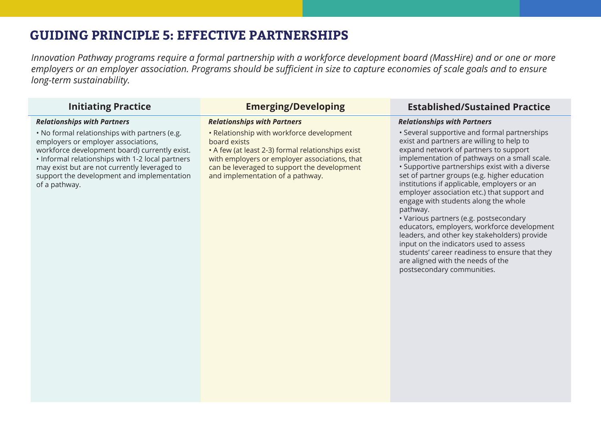# **GUIDING PRINCIPLE 5: EFFECTIVE PARTNERSHIPS**

*Innovation Pathway programs require a formal partnership with a workforce development board (MassHire) and or one or more employers or an employer association. Programs should be sufficient in size to capture economies of scale goals and to ensure long-term sustainability.*

### *Relationships with Partners*

• No formal relationships with partners (e.g. employers or employer associations, workforce development board) currently exist. • Informal relationships with 1-2 local partners may exist but are not currently leveraged to support the development and implementation of a pathway.

• Relationship with workforce development board exists

• A few (at least 2-3) formal relationships exist with employers or employer associations, that can be leveraged to support the development and implementation of a pathway.

## **Initiating Practice Emerging/Developing Established/Sustained Practice**

### *Relationships with Partners Relationships with Partners*

• Several supportive and formal partnerships exist and partners are willing to help to expand network of partners to support implementation of pathways on a small scale. • Supportive partnerships exist with a diverse set of partner groups (e.g. higher education institutions if applicable, employers or an employer association etc.) that support and engage with students along the whole pathway.

• Various partners (e.g. postsecondary educators, employers, workforce development leaders, and other key stakeholders) provide input on the indicators used to assess students' career readiness to ensure that they are aligned with the needs of the postsecondary communities.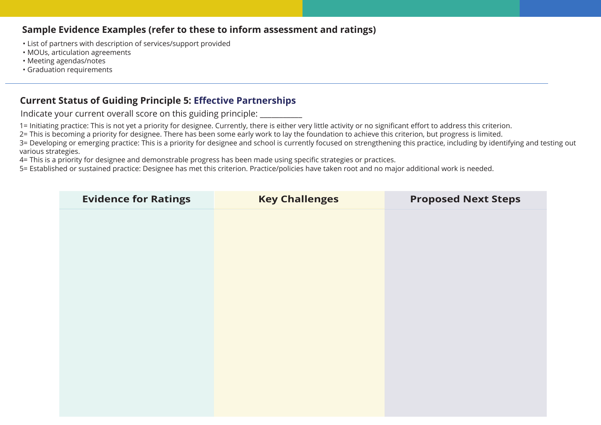- List of partners with description of services/support provided
- MOUs, articulation agreements
- Meeting agendas/notes
- Graduation requirements

# **Current Status of Guiding Principle 5: Effective Partnerships**

Indicate your current overall score on this guiding principle: \_\_\_\_\_\_\_\_\_\_\_

1= Initiating practice: This is not yet a priority for designee. Currently, there is either very little activity or no significant effort to address this criterion.

2= This is becoming a priority for designee. There has been some early work to lay the foundation to achieve this criterion, but progress is limited.

3= Developing or emerging practice: This is a priority for designee and school is currently focused on strengthening this practice, including by identifying and testing out various strategies.

4= This is a priority for designee and demonstrable progress has been made using specific strategies or practices.

| <b>Evidence for Ratings</b> | <b>Key Challenges</b> | <b>Proposed Next Steps</b> |
|-----------------------------|-----------------------|----------------------------|
|                             |                       |                            |
|                             |                       |                            |
|                             |                       |                            |
|                             |                       |                            |
|                             |                       |                            |
|                             |                       |                            |
|                             |                       |                            |
|                             |                       |                            |
|                             |                       |                            |
|                             |                       |                            |
|                             |                       |                            |
|                             |                       |                            |